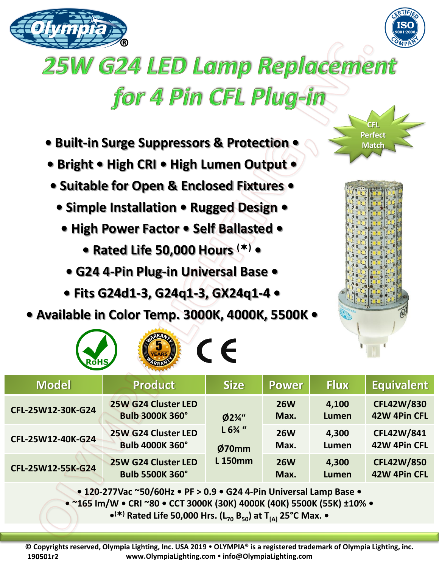



## **25W G24 LED Lamp Replacement** for 4 Pin CFL Plug-in

- **Built-in Surge Suppressors & Protection •**
- **Bright • High CRI • High Lumen Output •**
- **Suitable for Open & Enclosed Fixtures •**
	- **Simple Installation Rugged Design •**
		- **High Power Factor Self Ballasted** 
			- **Rated Life 50,000 Hours () •**
			- **G24 4-Pin Plug-in Universal Base**
		- **Fits G24d1-3, G24q1-3, GX24q1-4 •**
- **Available in Color Temp. 3000K, 4000K, 5500K •**

 $\sqrt{5}$   $\sqrt{2}$ 



**CFL Perfect Match** 

| $\overline{\phantom{a}}$<br><b>AFRICANTS</b><br><b>RoHS</b>                |                                               |                                                         |                    |                       |                                   |
|----------------------------------------------------------------------------|-----------------------------------------------|---------------------------------------------------------|--------------------|-----------------------|-----------------------------------|
| <b>Model</b>                                                               | <b>Product</b>                                | <b>Size</b>                                             | <b>Power</b>       | <b>Flux</b>           | <b>Equivalent</b>                 |
| CFL-25W12-30K-G24                                                          | 25W G24 Cluster LED<br><b>Bulb 3000K 360°</b> | $Ø2\frac{3}{4}$ "<br>$L 6%$ "<br>Ø70mm<br><b>L150mm</b> | <b>26W</b><br>Max. | 4,100<br><b>Lumen</b> | <b>CFL42W/830</b><br>42W 4Pin CFL |
| CFL-25W12-40K-G24                                                          | 25W G24 Cluster LED<br><b>Bulb 4000K 360°</b> |                                                         | <b>26W</b><br>Max. | 4,300<br>Lumen        | <b>CFL42W/841</b><br>42W 4Pin CFL |
| CFL-25W12-55K-G24                                                          | 25W G24 Cluster LED<br><b>Bulb 5500K 360°</b> |                                                         | <b>26W</b><br>Max. | 4,300<br>Lumen        | <b>CFL42W/850</b><br>42W 4Pin CFL |
| $\sim$ 430.373\/see SCO/COU- e DE s.O.O.e CO4.4 Dis Universal Large Deep e |                                               |                                                         |                    |                       |                                   |

**• 120-277Vac ~50/60Hz • PF > 0.9 • G24 4-Pin Universal Lamp Base •**

**• ~165 lm/W • CRI ~80 • CCT 3000K (30K) 4000K (40K) 5500K (55K) ±10% •**

**• () Rated Life 50,000 Hrs. (L<sup>70</sup> B50) at T[A] 25°C Max. •**

**© Copyrights reserved, Olympia Lighting, Inc. USA 2019 OLYMPIA® is a registered trademark of Olympia Lighting, inc. www.OlympiaLighting.com info@OlympiaLighting.com 190501r2**